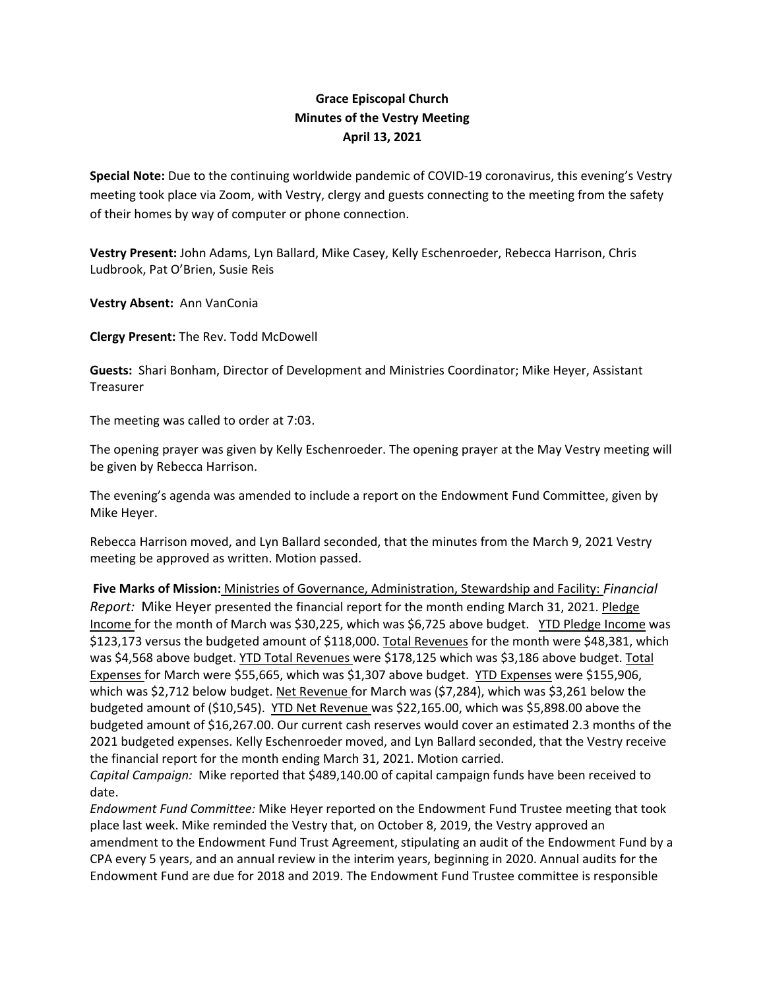## **Grace Episcopal Church Minutes of the Vestry Meeting April 13, 2021**

**Special Note:** Due to the continuing worldwide pandemic of COVID‐19 coronavirus, this evening's Vestry meeting took place via Zoom, with Vestry, clergy and guests connecting to the meeting from the safety of their homes by way of computer or phone connection.

**Vestry Present:** John Adams, Lyn Ballard, Mike Casey, Kelly Eschenroeder, Rebecca Harrison, Chris Ludbrook, Pat O'Brien, Susie Reis

**Vestry Absent:** Ann VanConia

**Clergy Present:** The Rev. Todd McDowell

**Guests:** Shari Bonham, Director of Development and Ministries Coordinator; Mike Heyer, Assistant Treasurer

The meeting was called to order at 7:03.

The opening prayer was given by Kelly Eschenroeder. The opening prayer at the May Vestry meeting will be given by Rebecca Harrison.

The evening's agenda was amended to include a report on the Endowment Fund Committee, given by Mike Heyer.

Rebecca Harrison moved, and Lyn Ballard seconded, that the minutes from the March 9, 2021 Vestry meeting be approved as written. Motion passed.

**Five Marks of Mission:** Ministries of Governance, Administration, Stewardship and Facility: *Financial Report:* Mike Heyer presented the financial report for the month ending March 31, 2021. Pledge Income for the month of March was \$30,225, which was \$6,725 above budget. YTD Pledge Income was \$123,173 versus the budgeted amount of \$118,000. Total Revenues for the month were \$48,381, which was \$4,568 above budget. YTD Total Revenues were \$178,125 which was \$3,186 above budget. Total Expenses for March were \$55,665, which was \$1,307 above budget. YTD Expenses were \$155,906, which was \$2,712 below budget. Net Revenue for March was (\$7,284), which was \$3,261 below the budgeted amount of (\$10,545). YTD Net Revenue was \$22,165.00, which was \$5,898.00 above the budgeted amount of \$16,267.00. Our current cash reserves would cover an estimated 2.3 months of the 2021 budgeted expenses. Kelly Eschenroeder moved, and Lyn Ballard seconded, that the Vestry receive the financial report for the month ending March 31, 2021. Motion carried.

*Capital Campaign:* Mike reported that \$489,140.00 of capital campaign funds have been received to date.

*Endowment Fund Committee:* Mike Heyer reported on the Endowment Fund Trustee meeting that took place last week. Mike reminded the Vestry that, on October 8, 2019, the Vestry approved an amendment to the Endowment Fund Trust Agreement, stipulating an audit of the Endowment Fund by a CPA every 5 years, and an annual review in the interim years, beginning in 2020. Annual audits for the Endowment Fund are due for 2018 and 2019. The Endowment Fund Trustee committee is responsible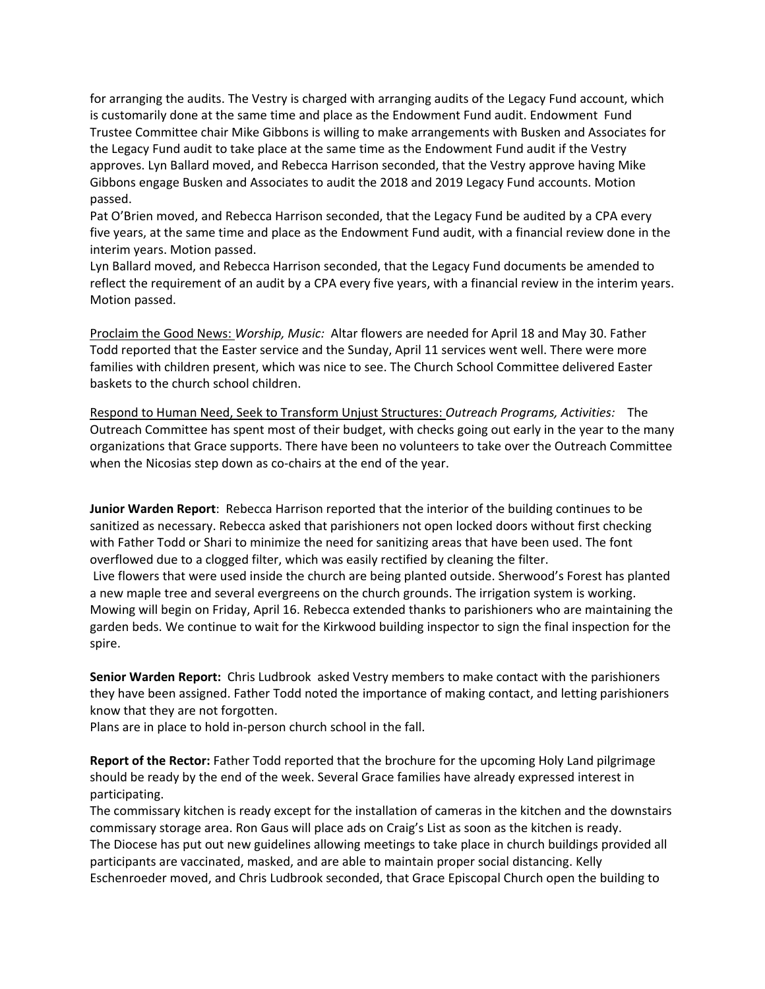for arranging the audits. The Vestry is charged with arranging audits of the Legacy Fund account, which is customarily done at the same time and place as the Endowment Fund audit. Endowment Fund Trustee Committee chair Mike Gibbons is willing to make arrangements with Busken and Associates for the Legacy Fund audit to take place at the same time as the Endowment Fund audit if the Vestry approves. Lyn Ballard moved, and Rebecca Harrison seconded, that the Vestry approve having Mike Gibbons engage Busken and Associates to audit the 2018 and 2019 Legacy Fund accounts. Motion passed.

Pat O'Brien moved, and Rebecca Harrison seconded, that the Legacy Fund be audited by a CPA every five years, at the same time and place as the Endowment Fund audit, with a financial review done in the interim years. Motion passed.

Lyn Ballard moved, and Rebecca Harrison seconded, that the Legacy Fund documents be amended to reflect the requirement of an audit by a CPA every five years, with a financial review in the interim years. Motion passed.

Proclaim the Good News: *Worship, Music:* Altar flowers are needed for April 18 and May 30. Father Todd reported that the Easter service and the Sunday, April 11 services went well. There were more families with children present, which was nice to see. The Church School Committee delivered Easter baskets to the church school children.

Respond to Human Need, Seek to Transform Unjust Structures: *Outreach Programs, Activities:* The Outreach Committee has spent most of their budget, with checks going out early in the year to the many organizations that Grace supports. There have been no volunteers to take over the Outreach Committee when the Nicosias step down as co-chairs at the end of the year.

**Junior Warden Report**: Rebecca Harrison reported that the interior of the building continues to be sanitized as necessary. Rebecca asked that parishioners not open locked doors without first checking with Father Todd or Shari to minimize the need for sanitizing areas that have been used. The font overflowed due to a clogged filter, which was easily rectified by cleaning the filter. Live flowers that were used inside the church are being planted outside. Sherwood's Forest has planted a new maple tree and several evergreens on the church grounds. The irrigation system is working. Mowing will begin on Friday, April 16. Rebecca extended thanks to parishioners who are maintaining the garden beds. We continue to wait for the Kirkwood building inspector to sign the final inspection for the spire.

**Senior Warden Report:** Chris Ludbrook asked Vestry members to make contact with the parishioners they have been assigned. Father Todd noted the importance of making contact, and letting parishioners know that they are not forgotten.

Plans are in place to hold in‐person church school in the fall.

**Report of the Rector:** Father Todd reported that the brochure for the upcoming Holy Land pilgrimage should be ready by the end of the week. Several Grace families have already expressed interest in participating.

The commissary kitchen is ready except for the installation of cameras in the kitchen and the downstairs commissary storage area. Ron Gaus will place ads on Craig's List as soon as the kitchen is ready. The Diocese has put out new guidelines allowing meetings to take place in church buildings provided all participants are vaccinated, masked, and are able to maintain proper social distancing. Kelly Eschenroeder moved, and Chris Ludbrook seconded, that Grace Episcopal Church open the building to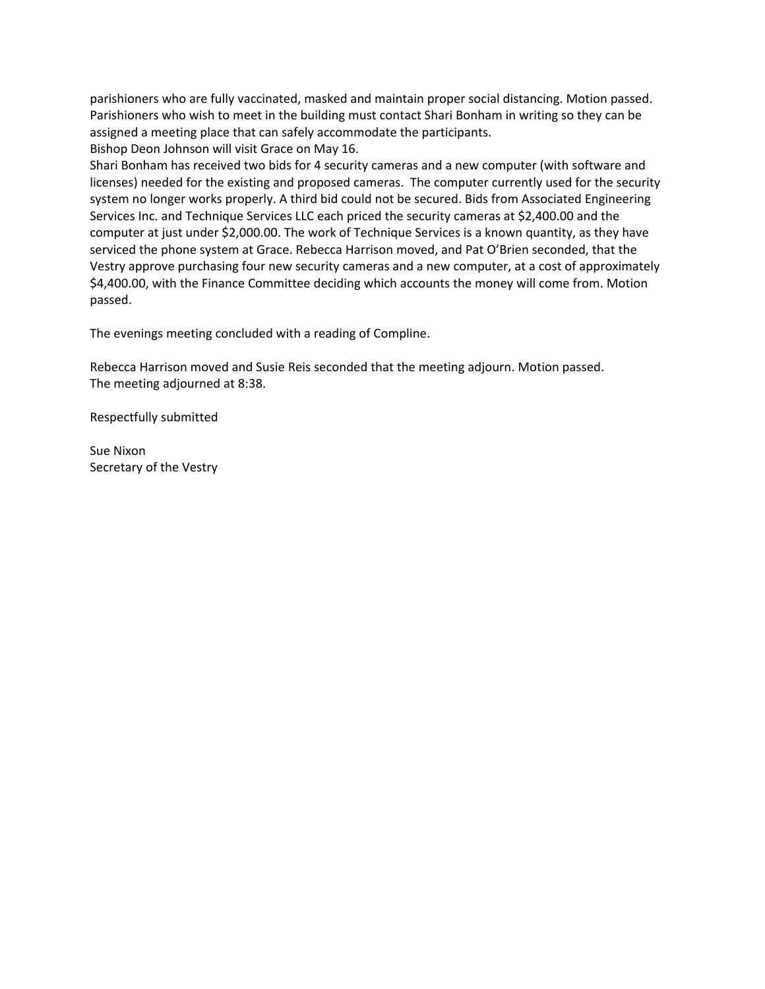parishioners who are fully vaccinated, masked and maintain proper social distancing. Motion passed. Parishioners who wish to meet in the building must contact Shari Bonham in writing so they can be assigned a meeting place that can safely accommodate the participants.

Bishop Deon Johnson will visit Grace on May 16.

Shari Bonham has received two bids for 4 security cameras and a new computer (with software and licenses) needed for the existing and proposed cameras. The computer currently used for the security system no longer works properly. A third bid could not be secured. Bids from Associated Engineering Services Inc. and Technique Services LLC each priced the security cameras at \$2,400.00 and the computer at just under \$2,000.00. The work of Technique Services is a known quantity, as they have serviced the phone system at Grace. Rebecca Harrison moved, and Pat O'Brien seconded, that the Vestry approve purchasing four new security cameras and a new computer, at a cost of approximately \$4,400.00, with the Finance Committee deciding which accounts the money will come from. Motion passed.

The evenings meeting concluded with a reading of Compline.

Rebecca Harrison moved and Susie Reis seconded that the meeting adjourn. Motion passed. The meeting adjourned at 8:38.

Respectfully submitted

Sue Nixon Secretary of the Vestry